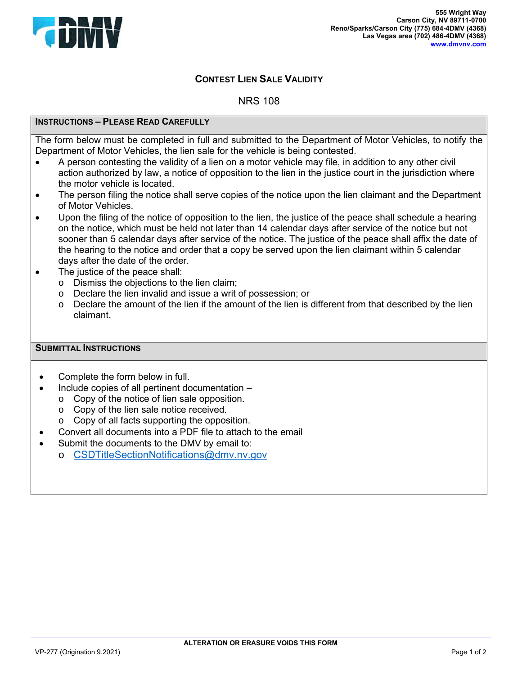

## **CONTEST LIEN SALE VALIDITY**

NRS 108

## **INSTRUCTIONS – PLEASE READ CAREFULLY**

The form below must be completed in full and submitted to the Department of Motor Vehicles, to notify the Department of Motor Vehicles, the lien sale for the vehicle is being contested.

- A person contesting the validity of a lien on a motor vehicle may file, in addition to any other civil action authorized by law, a notice of opposition to the lien in the justice court in the jurisdiction where the motor vehicle is located.
- The person filing the notice shall serve copies of the notice upon the lien claimant and the Department of Motor Vehicles.
- Upon the filing of the notice of opposition to the lien, the justice of the peace shall schedule a hearing on the notice, which must be held not later than 14 calendar days after service of the notice but not sooner than 5 calendar days after service of the notice. The justice of the peace shall affix the date of the hearing to the notice and order that a copy be served upon the lien claimant within 5 calendar days after the date of the order.
- The justice of the peace shall:
	- o Dismiss the objections to the lien claim;
	- o Declare the lien invalid and issue a writ of possession; or
	- $\circ$  Declare the amount of the lien if the amount of the lien is different from that described by the lien claimant.

## **SUBMITTAL INSTRUCTIONS**

- Complete the form below in full.
- Include copies of all pertinent documentation
	- o Copy of the notice of lien sale opposition.
	- o Copy of the lien sale notice received.
	- o Copy of all facts supporting the opposition.
- Convert all documents into a PDF file to attach to the email
- Submit the documents to the DMV by email to:
	- o CSDTitleSectionNotifications@dmv.nv.gov